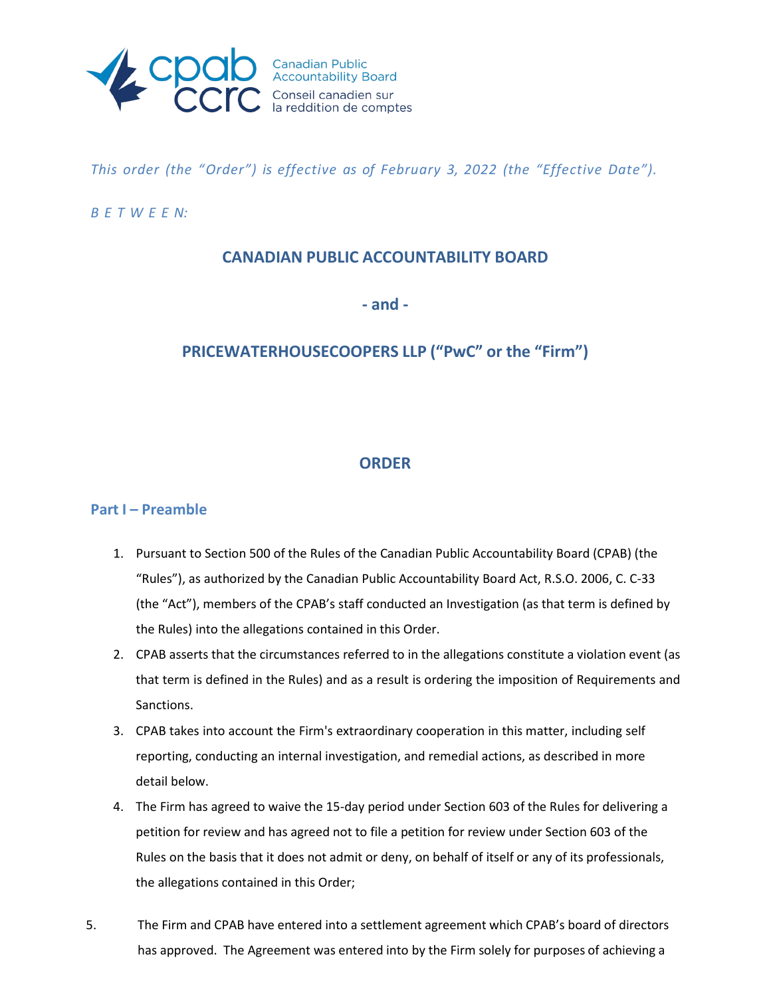

*This order (the "Order") is effective as of February 3, 2022 (the "Effective Date").*

### *B E T W E E N:*

## **CANADIAN PUBLIC ACCOUNTABILITY BOARD**

**- and -**

## **PRICEWATERHOUSECOOPERS LLP ("PwC" or the "Firm")**

## **ORDER**

### **Part I – Preamble**

- 1. Pursuant to Section 500 of the Rules of the Canadian Public Accountability Board (CPAB) (the "Rules"), as authorized by the Canadian Public Accountability Board Act, R.S.O. 2006, C. C-33 (the "Act"), members of the CPAB's staff conducted an Investigation (as that term is defined by the Rules) into the allegations contained in this Order.
- 2. CPAB asserts that the circumstances referred to in the allegations constitute a violation event (as that term is defined in the Rules) and as a result is ordering the imposition of Requirements and Sanctions.
- 3. CPAB takes into account the Firm's extraordinary cooperation in this matter, including self reporting, conducting an internal investigation, and remedial actions, as described in more detail below.
- 4. The Firm has agreed to waive the 15-day period under Section 603 of the Rules for delivering a petition for review and has agreed not to file a petition for review under Section 603 of the Rules on the basis that it does not admit or deny, on behalf of itself or any of its professionals, the allegations contained in this Order;
- 5. The Firm and CPAB have entered into a settlement agreement which CPAB's board of directors has approved. The Agreement was entered into by the Firm solely for purposes of achieving a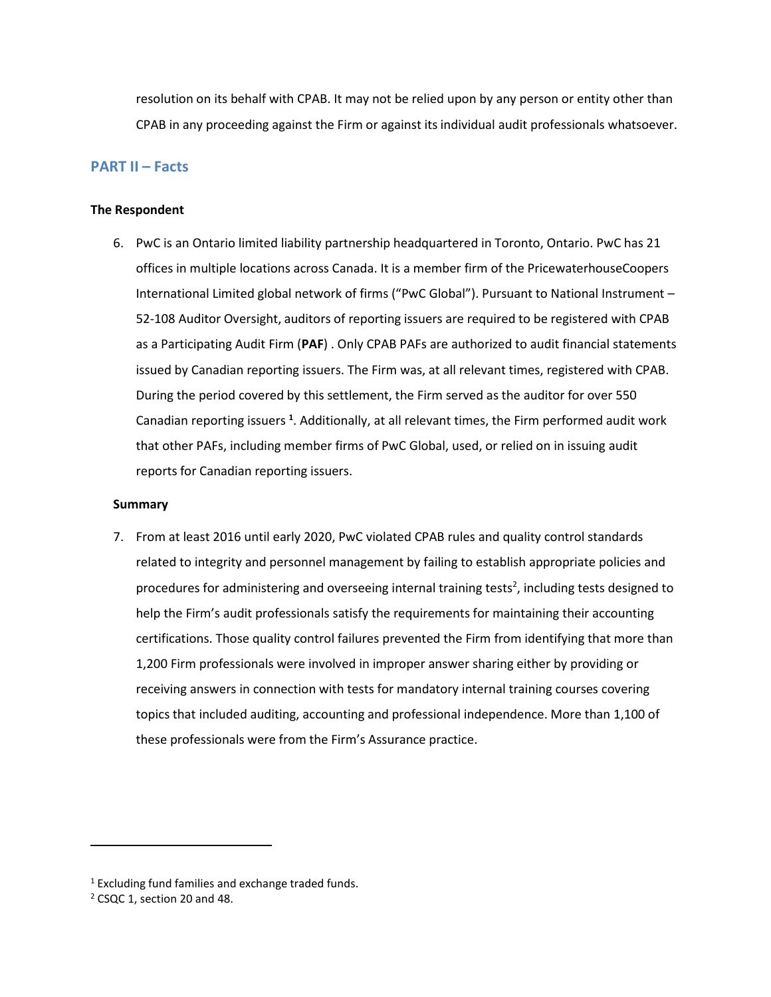resolution on its behalf with CPAB. It may not be relied upon by any person or entity other than CPAB in any proceeding against the Firm or against its individual audit professionals whatsoever.

### **PART II – Facts**

#### **The Respondent**

6. PwC is an Ontario limited liability partnership headquartered in Toronto, Ontario. PwC has 21 offices in multiple locations across Canada. It is a member firm of the PricewaterhouseCoopers International Limited global network of firms ("PwC Global"). Pursuant to National Instrument – 52-108 Auditor Oversight, auditors of reporting issuers are required to be registered with CPAB as a Participating Audit Firm (**PAF**) . Only CPAB PAFs are authorized to audit financial statements issued by Canadian reporting issuers. The Firm was, at all relevant times, registered with CPAB. During the period covered by this settlement, the Firm served as the auditor for over 550 Canadian reporting issuers **<sup>1</sup>** . Additionally, at all relevant times, the Firm performed audit work that other PAFs, including member firms of PwC Global, used, or relied on in issuing audit reports for Canadian reporting issuers.

#### **Summary**

7. From at least 2016 until early 2020, PwC violated CPAB rules and quality control standards related to integrity and personnel management by failing to establish appropriate policies and procedures for administering and overseeing internal training tests<sup>2</sup>, including tests designed to help the Firm's audit professionals satisfy the requirements for maintaining their accounting certifications. Those quality control failures prevented the Firm from identifying that more than 1,200 Firm professionals were involved in improper answer sharing either by providing or receiving answers in connection with tests for mandatory internal training courses covering topics that included auditing, accounting and professional independence. More than 1,100 of these professionals were from the Firm's Assurance practice.

 $1$  Excluding fund families and exchange traded funds.

<sup>2</sup> CSQC 1, section 20 and 48.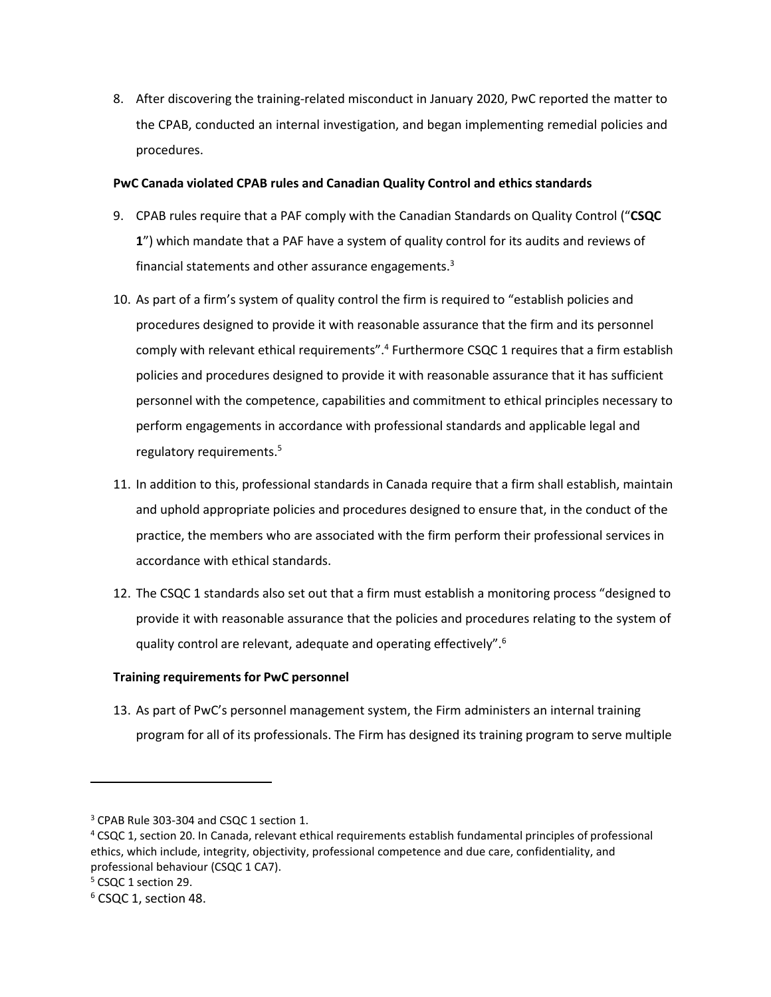8. After discovering the training-related misconduct in January 2020, PwC reported the matter to the CPAB, conducted an internal investigation, and began implementing remedial policies and procedures.

### **PwC Canada violated CPAB rules and Canadian Quality Control and ethics standards**

- 9. CPAB rules require that a PAF comply with the Canadian Standards on Quality Control ("**CSQC 1**") which mandate that a PAF have a system of quality control for its audits and reviews of financial statements and other assurance engagements.3
- 10. As part of a firm's system of quality control the firm is required to "establish policies and procedures designed to provide it with reasonable assurance that the firm and its personnel comply with relevant ethical requirements".<sup>4</sup> Furthermore CSQC 1 requires that a firm establish policies and procedures designed to provide it with reasonable assurance that it has sufficient personnel with the competence, capabilities and commitment to ethical principles necessary to perform engagements in accordance with professional standards and applicable legal and regulatory requirements.5
- 11. In addition to this, professional standards in Canada require that a firm shall establish, maintain and uphold appropriate policies and procedures designed to ensure that, in the conduct of the practice, the members who are associated with the firm perform their professional services in accordance with ethical standards.
- 12. The CSQC 1 standards also set out that a firm must establish a monitoring process "designed to provide it with reasonable assurance that the policies and procedures relating to the system of quality control are relevant, adequate and operating effectively".6

### **Training requirements for PwC personnel**

13. As part of PwC's personnel management system, the Firm administers an internal training program for all of its professionals. The Firm has designed its training program to serve multiple

<sup>&</sup>lt;sup>3</sup> CPAB Rule 303-304 and CSQC 1 section 1.

<sup>4</sup> CSQC 1, section 20. In Canada, relevant ethical requirements establish fundamental principles of professional ethics, which include, integrity, objectivity, professional competence and due care, confidentiality, and professional behaviour (CSQC 1 CA7).

<sup>5</sup> CSQC 1 section 29.

<sup>6</sup> CSQC 1, section 48.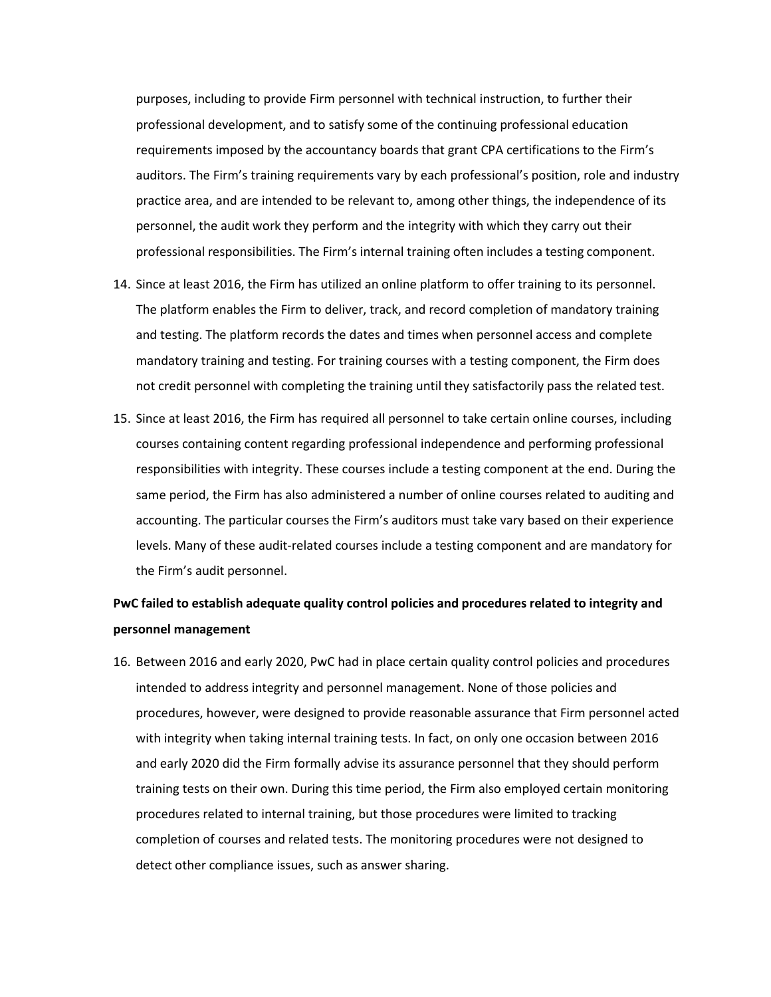purposes, including to provide Firm personnel with technical instruction, to further their professional development, and to satisfy some of the continuing professional education requirements imposed by the accountancy boards that grant CPA certifications to the Firm's auditors. The Firm's training requirements vary by each professional's position, role and industry practice area, and are intended to be relevant to, among other things, the independence of its personnel, the audit work they perform and the integrity with which they carry out their professional responsibilities. The Firm's internal training often includes a testing component.

- 14. Since at least 2016, the Firm has utilized an online platform to offer training to its personnel. The platform enables the Firm to deliver, track, and record completion of mandatory training and testing. The platform records the dates and times when personnel access and complete mandatory training and testing. For training courses with a testing component, the Firm does not credit personnel with completing the training until they satisfactorily pass the related test.
- 15. Since at least 2016, the Firm has required all personnel to take certain online courses, including courses containing content regarding professional independence and performing professional responsibilities with integrity. These courses include a testing component at the end. During the same period, the Firm has also administered a number of online courses related to auditing and accounting. The particular courses the Firm's auditors must take vary based on their experience levels. Many of these audit-related courses include a testing component and are mandatory for the Firm's audit personnel.

# **PwC failed to establish adequate quality control policies and procedures related to integrity and personnel management**

16. Between 2016 and early 2020, PwC had in place certain quality control policies and procedures intended to address integrity and personnel management. None of those policies and procedures, however, were designed to provide reasonable assurance that Firm personnel acted with integrity when taking internal training tests. In fact, on only one occasion between 2016 and early 2020 did the Firm formally advise its assurance personnel that they should perform training tests on their own. During this time period, the Firm also employed certain monitoring procedures related to internal training, but those procedures were limited to tracking completion of courses and related tests. The monitoring procedures were not designed to detect other compliance issues, such as answer sharing.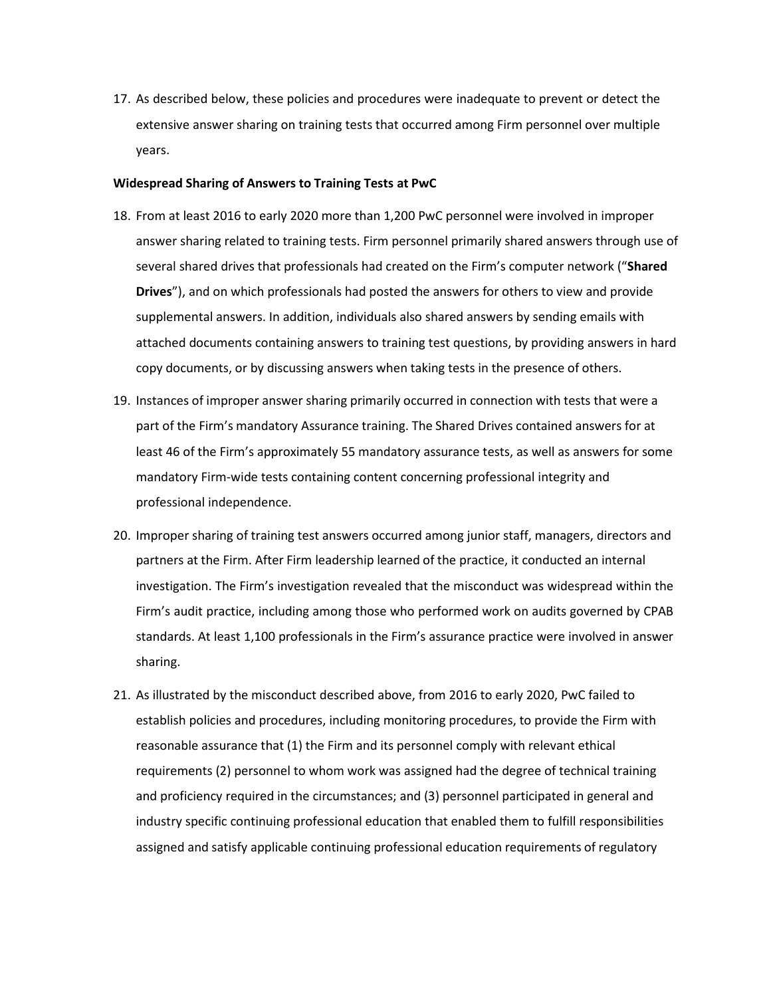17. As described below, these policies and procedures were inadequate to prevent or detect the extensive answer sharing on training tests that occurred among Firm personnel over multiple years.

#### **Widespread Sharing of Answers to Training Tests at PwC**

- 18. From at least 2016 to early 2020 more than 1,200 PwC personnel were involved in improper answer sharing related to training tests. Firm personnel primarily shared answers through use of several shared drives that professionals had created on the Firm's computer network ("**Shared Drives**"), and on which professionals had posted the answers for others to view and provide supplemental answers. In addition, individuals also shared answers by sending emails with attached documents containing answers to training test questions, by providing answers in hard copy documents, or by discussing answers when taking tests in the presence of others.
- 19. Instances of improper answer sharing primarily occurred in connection with tests that were a part of the Firm's mandatory Assurance training. The Shared Drives contained answers for at least 46 of the Firm's approximately 55 mandatory assurance tests, as well as answers for some mandatory Firm-wide tests containing content concerning professional integrity and professional independence.
- 20. Improper sharing of training test answers occurred among junior staff, managers, directors and partners at the Firm. After Firm leadership learned of the practice, it conducted an internal investigation. The Firm's investigation revealed that the misconduct was widespread within the Firm's audit practice, including among those who performed work on audits governed by CPAB standards. At least 1,100 professionals in the Firm's assurance practice were involved in answer sharing.
- 21. As illustrated by the misconduct described above, from 2016 to early 2020, PwC failed to establish policies and procedures, including monitoring procedures, to provide the Firm with reasonable assurance that (1) the Firm and its personnel comply with relevant ethical requirements (2) personnel to whom work was assigned had the degree of technical training and proficiency required in the circumstances; and (3) personnel participated in general and industry specific continuing professional education that enabled them to fulfill responsibilities assigned and satisfy applicable continuing professional education requirements of regulatory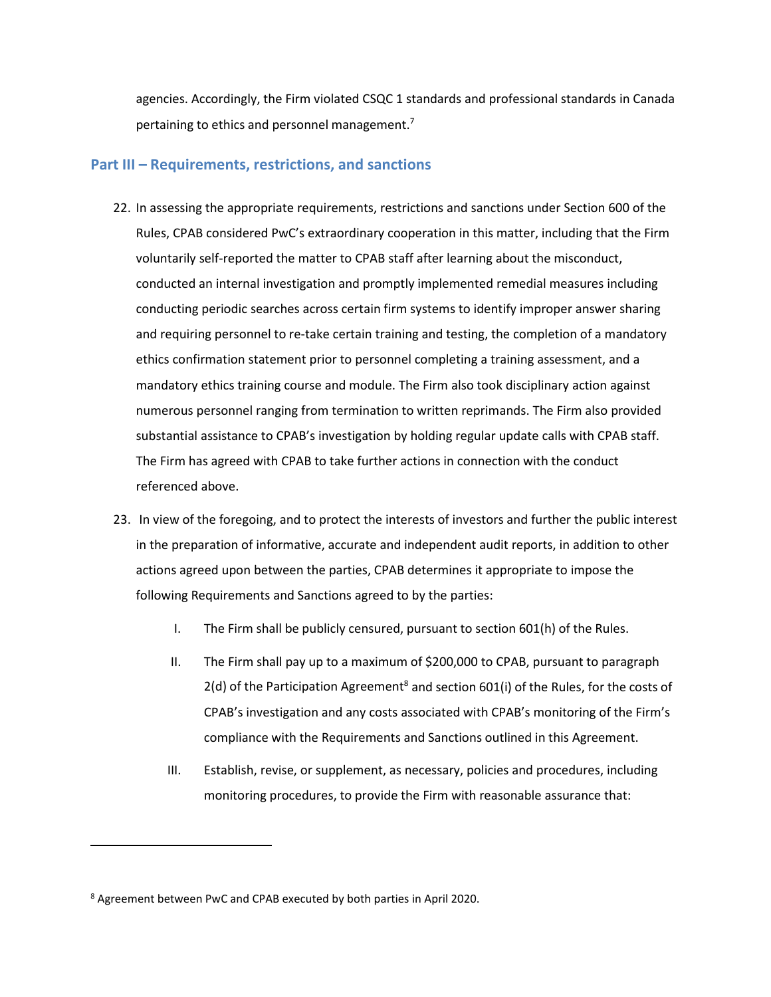agencies. Accordingly, the Firm violated CSQC 1 standards and professional standards in Canada pertaining to ethics and personnel management.<sup>7</sup>

### **Part III – Requirements, restrictions, and sanctions**

- 22. In assessing the appropriate requirements, restrictions and sanctions under Section 600 of the Rules, CPAB considered PwC's extraordinary cooperation in this matter, including that the Firm voluntarily self-reported the matter to CPAB staff after learning about the misconduct, conducted an internal investigation and promptly implemented remedial measures including conducting periodic searches across certain firm systems to identify improper answer sharing and requiring personnel to re-take certain training and testing, the completion of a mandatory ethics confirmation statement prior to personnel completing a training assessment, and a mandatory ethics training course and module. The Firm also took disciplinary action against numerous personnel ranging from termination to written reprimands. The Firm also provided substantial assistance to CPAB's investigation by holding regular update calls with CPAB staff. The Firm has agreed with CPAB to take further actions in connection with the conduct referenced above.
- 23. In view of the foregoing, and to protect the interests of investors and further the public interest in the preparation of informative, accurate and independent audit reports, in addition to other actions agreed upon between the parties, CPAB determines it appropriate to impose the following Requirements and Sanctions agreed to by the parties:
	- I. The Firm shall be publicly censured, pursuant to section 601(h) of the Rules.
	- II. The Firm shall pay up to a maximum of \$200,000 to CPAB, pursuant to paragraph  $2(d)$  of the Participation Agreement<sup>8</sup> and section 601(i) of the Rules, for the costs of CPAB's investigation and any costs associated with CPAB's monitoring of the Firm's compliance with the Requirements and Sanctions outlined in this Agreement.
	- III. Establish, revise, or supplement, as necessary, policies and procedures, including monitoring procedures, to provide the Firm with reasonable assurance that:

<sup>8</sup> Agreement between PwC and CPAB executed by both parties in April 2020.